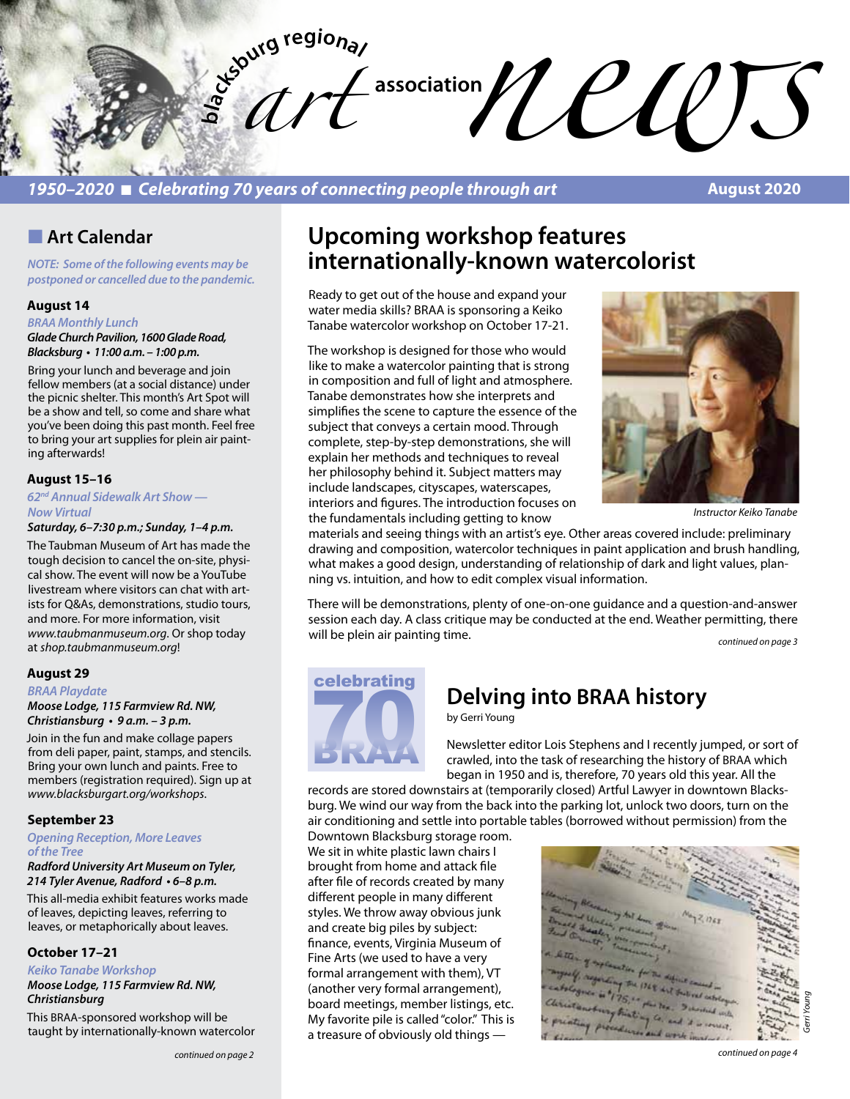

## *1950–2020* n *Celebrating 70 years of connecting people through art*

**August 2020**

## **n** Art Calendar

*NOTE: Some of the following events may be postponed or cancelled due to the pandemic.* 

## **August 14**

*BRAA Monthly Lunch*

*Glade Church Pavilion, 1600 Glade Road,*  **Blacksburg • 11:00 a.m. – 1:00 p.m.** 

Bring your lunch and beverage and join fellow members (at a social distance) under the picnic shelter. This month's Art Spot will be a show and tell, so come and share what you've been doing this past month. Feel free to bring your art supplies for plein air painting afterwards!

#### **August 15–16**

*62nd Annual Sidewalk Art Show — Now Virtual*

**Saturday, 6–7:30 p.m.; Sunday, 1–4 p.m.**

The Taubman Museum of Art has made the tough decision to cancel the on-site, physical show. The event will now be a YouTube livestream where visitors can chat with artists for Q&As, demonstrations, studio tours, and more. For more information, visit *www.taubmanmuseum.org*. Or shop today at *shop.taubmanmuseum.org*!

#### **August 29**

*BRAA Playdate* 

#### *Moose Lodge, 115 Farmview Rd. NW,*  **Christiansburg • 9 a.m. – 3 p.m.**

Join in the fun and make collage papers from deli paper, paint, stamps, and stencils. Bring your own lunch and paints. Free to members (registration required). Sign up at *www.blacksburgart.org/workshops*.

#### **September 23**

*Opening Reception, More Leaves of the Tree* 

*Radford University Art Museum on Tyler,*  **214 Tyler Avenue, Radford • 6–8 p.m.** 

This all-media exhibit features works made of leaves, depicting leaves, referring to leaves, or metaphorically about leaves.

#### **October 17–21**

*Keiko Tanabe Workshop*

*Moose Lodge, 115 Farmview Rd. NW, Christiansburg* 

This BRAA-sponsored workshop will be taught by internationally-known watercolor

## **Upcoming workshop features internationally-known watercolorist**

Ready to get out of the house and expand your water media skills? BRAA is sponsoring a Keiko Tanabe watercolor workshop on October 17-21.

The workshop is designed for those who would like to make a watercolor painting that is strong in composition and full of light and atmosphere. Tanabe demonstrates how she interprets and simplifies the scene to capture the essence of the subject that conveys a certain mood. Through complete, step-by-step demonstrations, she will explain her methods and techniques to reveal her philosophy behind it. Subject matters may include landscapes, cityscapes, waterscapes, interiors and figures. The introduction focuses on the fundamentals including getting to know



*Instructor Keiko Tanabe*

materials and seeing things with an artist's eye. Other areas covered include: preliminary drawing and composition, watercolor techniques in paint application and brush handling, what makes a good design, understanding of relationship of dark and light values, planning vs. intuition, and how to edit complex visual information.

There will be demonstrations, plenty of one-on-one guidance and a question-and-answer session each day. A class critique may be conducted at the end. Weather permitting, there will be plein air painting time.<br>*continued on page 3* 

# celebrating **70**

# **Delving into BRAA history**

by Gerri Young

Newsletter editor Lois Stephens and I recently jumped, or sort of crawled, into the task of researching the history of BRAA which began in 1950 and is, therefore, 70 years old this year. All the

records are stored downstairs at (temporarily closed) Artful Lawyer in downtown Blacksburg. We wind our way from the back into the parking lot, unlock two doors, turn on the air conditioning and settle into portable tables (borrowed without permission) from the

Downtown Blacksburg storage room. We sit in white plastic lawn chairs I brought from home and attack file after file of records created by many different people in many different styles. We throw away obvious junk and create big piles by subject: finance, events, Virginia Museum of Fine Arts (we used to have a very formal arrangement with them), VT (another very formal arrangement), board meetings, member listings, etc. My favorite pile is called "color." This is a treasure of obviously old things —

*Gerri Young*

*continued on page 4*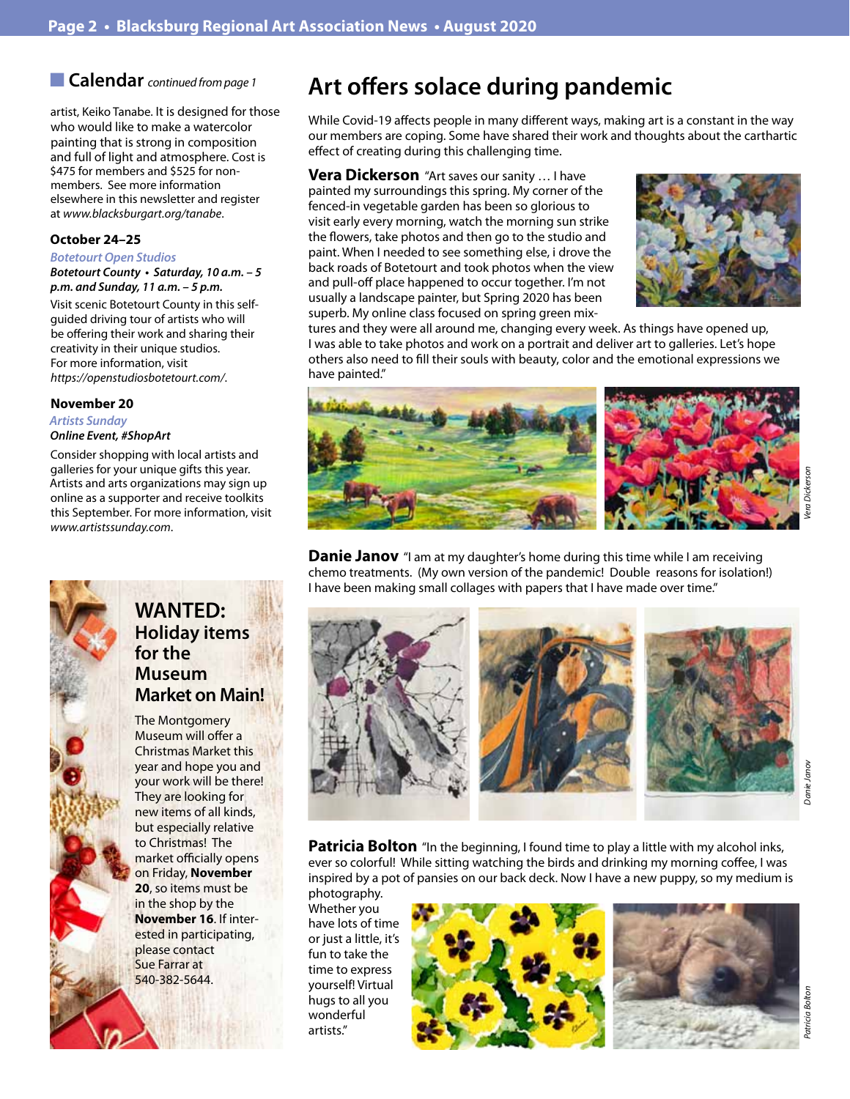■ Calendar *continued from page 1* 

artist, Keiko Tanabe. It is designed for those who would like to make a watercolor painting that is strong in composition and full of light and atmosphere. Cost is \$475 for members and \$525 for nonmembers. See more information elsewhere in this newsletter and register at *www.blacksburgart.org/tanabe*.

## **October 24–25**

#### *Botetourt Open Studios*

**Botetourt County • Saturday, 10 a.m. – 5 p.m. and Sunday, 11 a.m. – 5 p.m.**

Visit scenic Botetourt County in this selfguided driving tour of artists who will be offering their work and sharing their creativity in their unique studios. For more information, visit *https://openstudiosbotetourt.com/*.

## **November 20**

*Artists Sunday Online Event, #ShopArt*

Consider shopping with local artists and galleries for your unique gifts this year. Artists and arts organizations may sign up online as a supporter and receive toolkits this September. For more information, visit *www.artistssunday.com*.



## **WANTED: Holiday items for the Museum Market on Main!**

The Montgomery Museum will offer a Christmas Market this year and hope you and your work will be there! They are looking for new items of all kinds, but especially relative to Christmas! The market officially opens on Friday, **November 20**, so items must be in the shop by the **November 16**. If interested in participating, please contact Sue Farrar at 540-382-5644.

# **Art offers solace during pandemic**

While Covid-19 affects people in many different ways, making art is a constant in the way our members are coping. Some have shared their work and thoughts about the carthartic effect of creating during this challenging time.

**Vera Dickerson** "Art saves our sanity … I have painted my surroundings this spring. My corner of the fenced-in vegetable garden has been so glorious to visit early every morning, watch the morning sun strike the flowers, take photos and then go to the studio and paint. When I needed to see something else, i drove the back roads of Botetourt and took photos when the view and pull-off place happened to occur together. I'm not usually a landscape painter, but Spring 2020 has been superb. My online class focused on spring green mix-



tures and they were all around me, changing every week. As things have opened up, I was able to take photos and work on a portrait and deliver art to galleries. Let's hope others also need to fill their souls with beauty, color and the emotional expressions we have painted."



**Danie Janov** "I am at my daughter's home during this time while I am receiving chemo treatments. (My own version of the pandemic! Double reasons for isolation!) I have been making small collages with papers that I have made over time."



**Patricia Bolton** "In the beginning, I found time to play a little with my alcohol inks, ever so colorful! While sitting watching the birds and drinking my morning coffee, I was inspired by a pot of pansies on our back deck. Now I have a new puppy, so my medium is

photography. Whether you have lots of time or just a little, it's fun to take the time to express yourself! Virtual hugs to all you wonderful artists."



*Patricia Bolton*

Patricia Boltor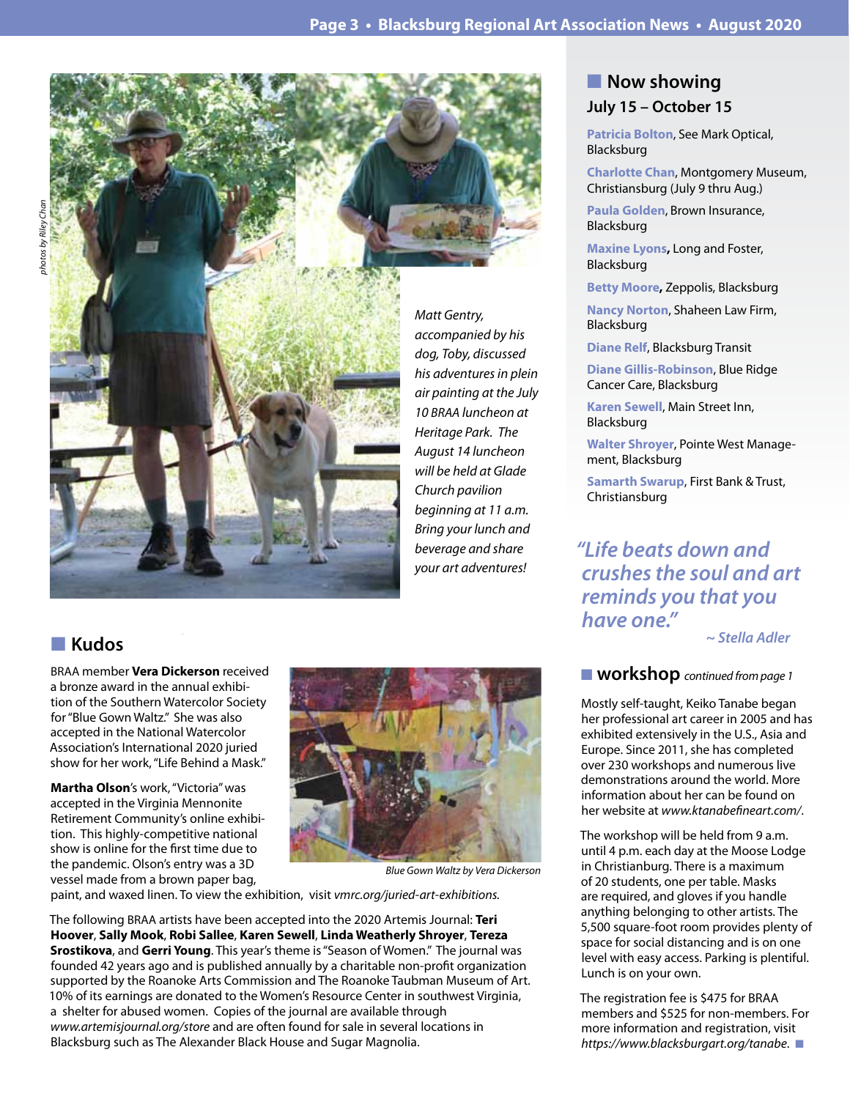

*Matt Gentry, accompanied by his dog, Toby, discussed his adventures in plein air painting at the July 10 BRAA luncheon at Heritage Park. The August 14 luncheon will be held at Glade Church pavilion beginning at 11 a.m. Bring your lunch and beverage and share your art adventures!*

## n **Kudos**

BRAA member **Vera Dickerson** received a bronze award in the annual exhibition of the Southern Watercolor Society for "Blue Gown Waltz." She was also accepted in the National Watercolor Association's International 2020 juried show for her work, "Life Behind a Mask."

**Martha Olson**'s work, "Victoria" was accepted in the Virginia Mennonite Retirement Community's online exhibition. This highly-competitive national show is online for the first time due to the pandemic. Olson's entry was a 3D vessel made from a brown paper bag,



*Blue Gown Waltz by Vera Dickerson*

paint, and waxed linen. To view the exhibition, visit *vmrc.org/juried-art-exhibitions.*

The following BRAA artists have been accepted into the 2020 Artemis Journal: **Teri Hoover**, **Sally Mook**, **Robi Sallee**, **Karen Sewell**, **Linda Weatherly Shroyer**, **Tereza Srostikova**, and **Gerri Young**. This year's theme is "Season of Women." The journal was founded 42 years ago and is published annually by a charitable non-profit organization supported by the Roanoke Arts Commission and The Roanoke Taubman Museum of Art. 10% of its earnings are donated to the Women's Resource Center in southwest Virginia, a shelter for abused women. Copies of the journal are available through *www.artemisjournal.org/store* and are often found for sale in several locations in Blacksburg such as The Alexander Black House and Sugar Magnolia.

## **Now showing July 15 – October 15**

**Patricia Bolton**, See Mark Optical, Blacksburg

**Charlotte Chan**, Montgomery Museum, Christiansburg (July 9 thru Aug.)

**Paula Golden**, Brown Insurance, Blacksburg

**Maxine Lyons,** Long and Foster, Blacksburg

**Betty Moore,** Zeppolis, Blacksburg

**Nancy Norton**, Shaheen Law Firm, Blacksburg

**Diane Relf**, Blacksburg Transit

**Diane Gillis-Robinson**, Blue Ridge Cancer Care, Blacksburg

**Karen Sewell**, Main Street Inn, Blacksburg

**Walter Shroyer**, Pointe West Management, Blacksburg

**Samarth Swarup**, First Bank & Trust, Christiansburg

*"Life beats down and crushes the soul and art reminds you that you have one."*

 *~ Stella Adler* 

## ■ **workshop** *continued from page 1*

Mostly self-taught, Keiko Tanabe began her professional art career in 2005 and has exhibited extensively in the U.S., Asia and Europe. Since 2011, she has completed over 230 workshops and numerous live demonstrations around the world. More information about her can be found on her website at *www.ktanabefineart.com/*.

The workshop will be held from 9 a.m. until 4 p.m. each day at the Moose Lodge in Christianburg. There is a maximum of 20 students, one per table. Masks are required, and gloves if you handle anything belonging to other artists. The 5,500 square-foot room provides plenty of space for social distancing and is on one level with easy access. Parking is plentiful. Lunch is on your own.

The registration fee is \$475 for BRAA members and \$525 for non-members. For more information and registration, visit *https://www.blacksburgart.org/tanabe.*